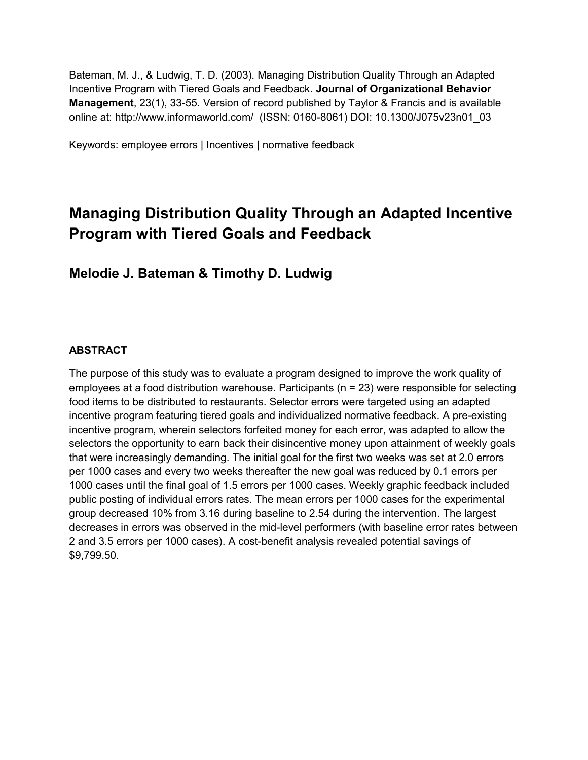Bateman, M. J., & Ludwig, T. D. (2003). Managing Distribution Quality Through an Adapted Incentive Program with Tiered Goals and Feedback. **Journal of Organizational Behavior Management**, 23(1), 33-55. Version of record published by Taylor & Francis and is available online at: http://www.informaworld.com/ (ISSN: 0160-8061) DOI: 10.1300/J075v23n01\_03

Keywords: employee errors | Incentives | normative feedback

# **Managing Distribution Quality Through an Adapted Incentive Program with Tiered Goals and Feedback**

# **Melodie J. Bateman & Timothy D. Ludwig**

# **ABSTRACT**

The purpose of this study was to evaluate a program designed to improve the work quality of employees at a food distribution warehouse. Participants (n = 23) were responsible for selecting food items to be distributed to restaurants. Selector errors were targeted using an adapted incentive program featuring tiered goals and individualized normative feedback. A pre-existing incentive program, wherein selectors forfeited money for each error, was adapted to allow the selectors the opportunity to earn back their disincentive money upon attainment of weekly goals that were increasingly demanding. The initial goal for the first two weeks was set at 2.0 errors per 1000 cases and every two weeks thereafter the new goal was reduced by 0.1 errors per 1000 cases until the final goal of 1.5 errors per 1000 cases. Weekly graphic feedback included public posting of individual errors rates. The mean errors per 1000 cases for the experimental group decreased 10% from 3.16 during baseline to 2.54 during the intervention. The largest decreases in errors was observed in the mid-level performers (with baseline error rates between 2 and 3.5 errors per 1000 cases). A cost-benefit analysis revealed potential savings of \$9,799.50.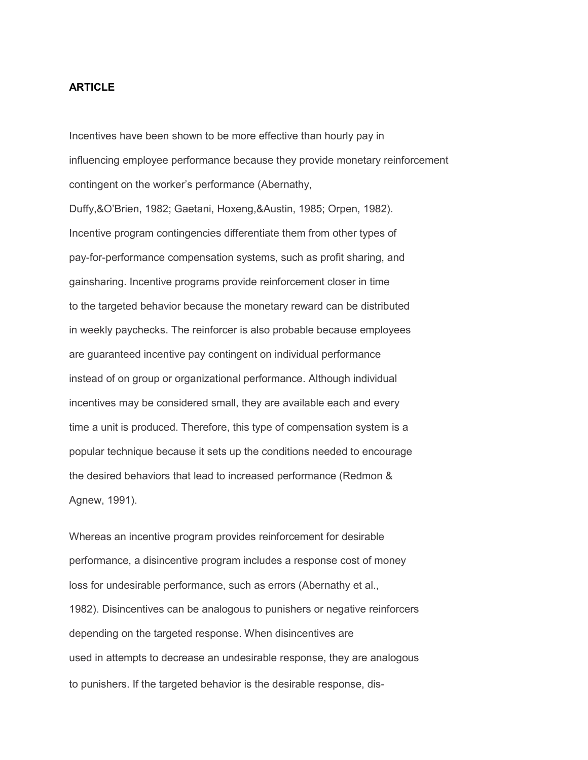# **ARTICLE**

Incentives have been shown to be more effective than hourly pay in influencing employee performance because they provide monetary reinforcement contingent on the worker's performance (Abernathy,

Duffy,&O'Brien, 1982; Gaetani, Hoxeng,&Austin, 1985; Orpen, 1982). Incentive program contingencies differentiate them from other types of pay-for-performance compensation systems, such as profit sharing, and gainsharing. Incentive programs provide reinforcement closer in time to the targeted behavior because the monetary reward can be distributed in weekly paychecks. The reinforcer is also probable because employees are guaranteed incentive pay contingent on individual performance instead of on group or organizational performance. Although individual incentives may be considered small, they are available each and every time a unit is produced. Therefore, this type of compensation system is a popular technique because it sets up the conditions needed to encourage the desired behaviors that lead to increased performance (Redmon & Agnew, 1991).

Whereas an incentive program provides reinforcement for desirable performance, a disincentive program includes a response cost of money loss for undesirable performance, such as errors (Abernathy et al., 1982). Disincentives can be analogous to punishers or negative reinforcers depending on the targeted response. When disincentives are used in attempts to decrease an undesirable response, they are analogous to punishers. If the targeted behavior is the desirable response, dis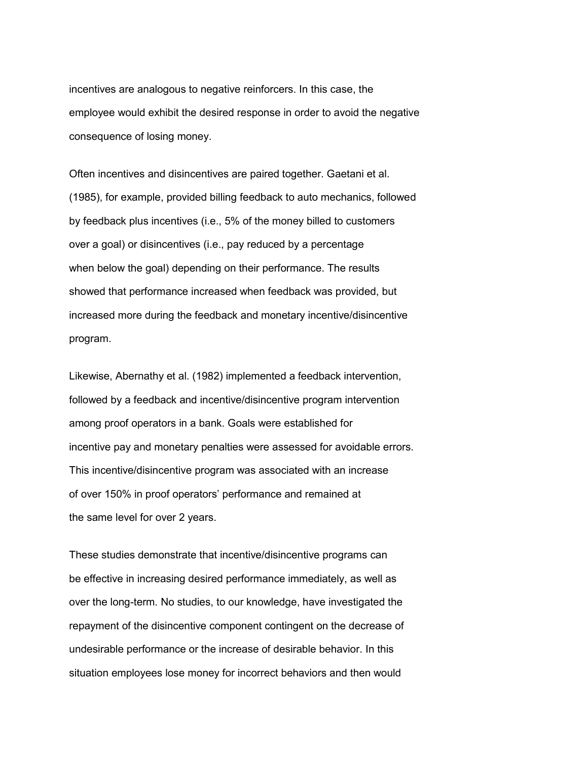incentives are analogous to negative reinforcers. In this case, the employee would exhibit the desired response in order to avoid the negative consequence of losing money.

Often incentives and disincentives are paired together. Gaetani et al. (1985), for example, provided billing feedback to auto mechanics, followed by feedback plus incentives (i.e., 5% of the money billed to customers over a goal) or disincentives (i.e., pay reduced by a percentage when below the goal) depending on their performance. The results showed that performance increased when feedback was provided, but increased more during the feedback and monetary incentive/disincentive program.

Likewise, Abernathy et al. (1982) implemented a feedback intervention, followed by a feedback and incentive/disincentive program intervention among proof operators in a bank. Goals were established for incentive pay and monetary penalties were assessed for avoidable errors. This incentive/disincentive program was associated with an increase of over 150% in proof operators' performance and remained at the same level for over 2 years.

These studies demonstrate that incentive/disincentive programs can be effective in increasing desired performance immediately, as well as over the long-term. No studies, to our knowledge, have investigated the repayment of the disincentive component contingent on the decrease of undesirable performance or the increase of desirable behavior. In this situation employees lose money for incorrect behaviors and then would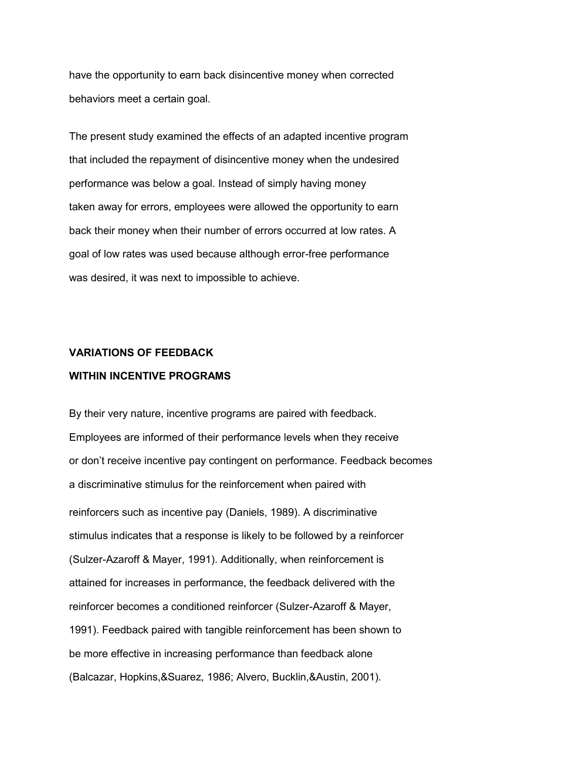have the opportunity to earn back disincentive money when corrected behaviors meet a certain goal.

The present study examined the effects of an adapted incentive program that included the repayment of disincentive money when the undesired performance was below a goal. Instead of simply having money taken away for errors, employees were allowed the opportunity to earn back their money when their number of errors occurred at low rates. A goal of low rates was used because although error-free performance was desired, it was next to impossible to achieve.

# **VARIATIONS OF FEEDBACK**

# **WITHIN INCENTIVE PROGRAMS**

By their very nature, incentive programs are paired with feedback. Employees are informed of their performance levels when they receive or don't receive incentive pay contingent on performance. Feedback becomes a discriminative stimulus for the reinforcement when paired with reinforcers such as incentive pay (Daniels, 1989). A discriminative stimulus indicates that a response is likely to be followed by a reinforcer (Sulzer-Azaroff & Mayer, 1991). Additionally, when reinforcement is attained for increases in performance, the feedback delivered with the reinforcer becomes a conditioned reinforcer (Sulzer-Azaroff & Mayer, 1991). Feedback paired with tangible reinforcement has been shown to be more effective in increasing performance than feedback alone (Balcazar, Hopkins,&Suarez, 1986; Alvero, Bucklin,&Austin, 2001).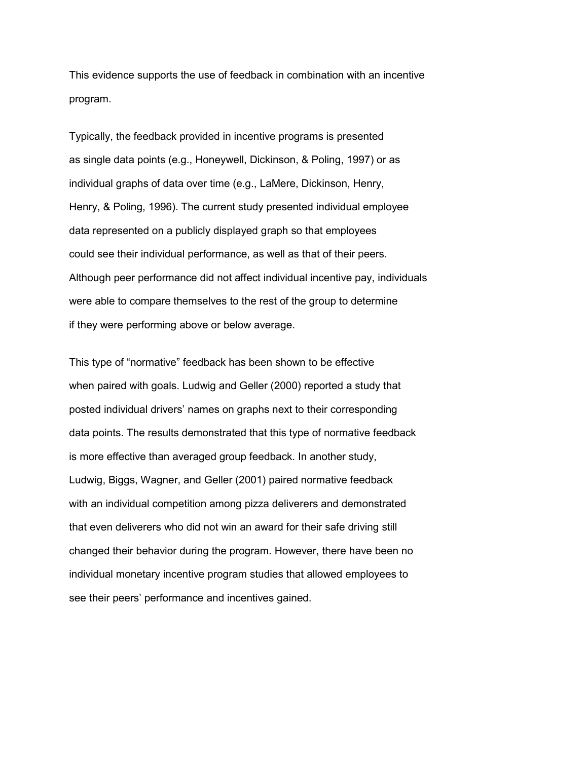This evidence supports the use of feedback in combination with an incentive program.

Typically, the feedback provided in incentive programs is presented as single data points (e.g., Honeywell, Dickinson, & Poling, 1997) or as individual graphs of data over time (e.g., LaMere, Dickinson, Henry, Henry, & Poling, 1996). The current study presented individual employee data represented on a publicly displayed graph so that employees could see their individual performance, as well as that of their peers. Although peer performance did not affect individual incentive pay, individuals were able to compare themselves to the rest of the group to determine if they were performing above or below average.

This type of "normative" feedback has been shown to be effective when paired with goals. Ludwig and Geller (2000) reported a study that posted individual drivers' names on graphs next to their corresponding data points. The results demonstrated that this type of normative feedback is more effective than averaged group feedback. In another study, Ludwig, Biggs, Wagner, and Geller (2001) paired normative feedback with an individual competition among pizza deliverers and demonstrated that even deliverers who did not win an award for their safe driving still changed their behavior during the program. However, there have been no individual monetary incentive program studies that allowed employees to see their peers' performance and incentives gained.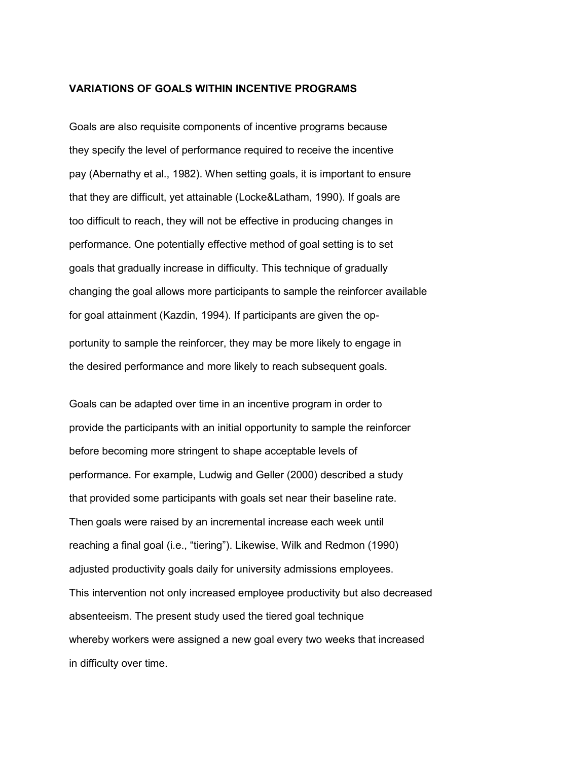### **VARIATIONS OF GOALS WITHIN INCENTIVE PROGRAMS**

Goals are also requisite components of incentive programs because they specify the level of performance required to receive the incentive pay (Abernathy et al., 1982). When setting goals, it is important to ensure that they are difficult, yet attainable (Locke&Latham, 1990). If goals are too difficult to reach, they will not be effective in producing changes in performance. One potentially effective method of goal setting is to set goals that gradually increase in difficulty. This technique of gradually changing the goal allows more participants to sample the reinforcer available for goal attainment (Kazdin, 1994). If participants are given the opportunity to sample the reinforcer, they may be more likely to engage in the desired performance and more likely to reach subsequent goals.

Goals can be adapted over time in an incentive program in order to provide the participants with an initial opportunity to sample the reinforcer before becoming more stringent to shape acceptable levels of performance. For example, Ludwig and Geller (2000) described a study that provided some participants with goals set near their baseline rate. Then goals were raised by an incremental increase each week until reaching a final goal (i.e., "tiering"). Likewise, Wilk and Redmon (1990) adjusted productivity goals daily for university admissions employees. This intervention not only increased employee productivity but also decreased absenteeism. The present study used the tiered goal technique whereby workers were assigned a new goal every two weeks that increased in difficulty over time.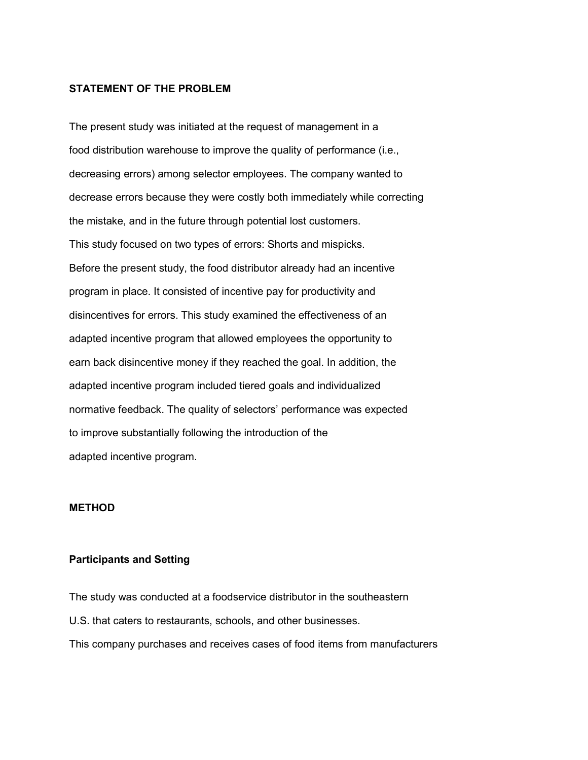# **STATEMENT OF THE PROBLEM**

The present study was initiated at the request of management in a food distribution warehouse to improve the quality of performance (i.e., decreasing errors) among selector employees. The company wanted to decrease errors because they were costly both immediately while correcting the mistake, and in the future through potential lost customers. This study focused on two types of errors: Shorts and mispicks. Before the present study, the food distributor already had an incentive program in place. It consisted of incentive pay for productivity and disincentives for errors. This study examined the effectiveness of an adapted incentive program that allowed employees the opportunity to earn back disincentive money if they reached the goal. In addition, the adapted incentive program included tiered goals and individualized normative feedback. The quality of selectors' performance was expected to improve substantially following the introduction of the adapted incentive program.

# **METHOD**

# **Participants and Setting**

The study was conducted at a foodservice distributor in the southeastern U.S. that caters to restaurants, schools, and other businesses. This company purchases and receives cases of food items from manufacturers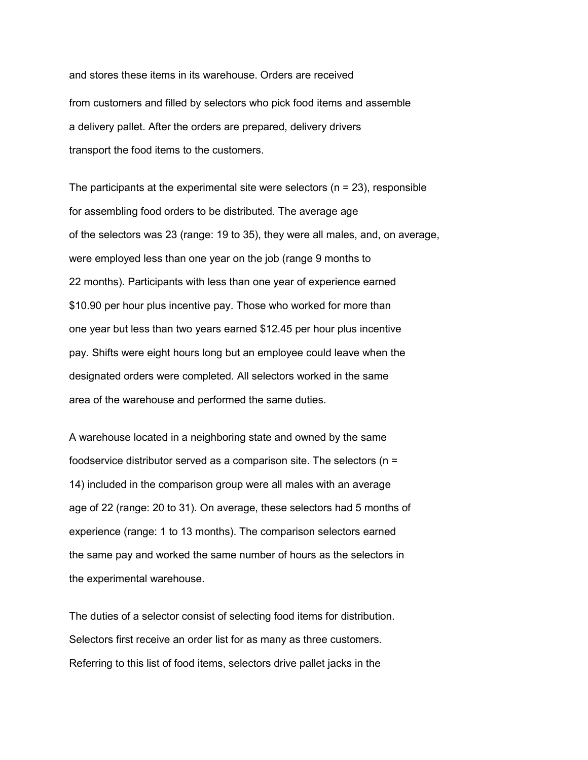and stores these items in its warehouse. Orders are received from customers and filled by selectors who pick food items and assemble a delivery pallet. After the orders are prepared, delivery drivers transport the food items to the customers.

The participants at the experimental site were selectors  $(n = 23)$ , responsible for assembling food orders to be distributed. The average age of the selectors was 23 (range: 19 to 35), they were all males, and, on average, were employed less than one year on the job (range 9 months to 22 months). Participants with less than one year of experience earned \$10.90 per hour plus incentive pay. Those who worked for more than one year but less than two years earned \$12.45 per hour plus incentive pay. Shifts were eight hours long but an employee could leave when the designated orders were completed. All selectors worked in the same area of the warehouse and performed the same duties.

A warehouse located in a neighboring state and owned by the same foodservice distributor served as a comparison site. The selectors (n = 14) included in the comparison group were all males with an average age of 22 (range: 20 to 31). On average, these selectors had 5 months of experience (range: 1 to 13 months). The comparison selectors earned the same pay and worked the same number of hours as the selectors in the experimental warehouse.

The duties of a selector consist of selecting food items for distribution. Selectors first receive an order list for as many as three customers. Referring to this list of food items, selectors drive pallet jacks in the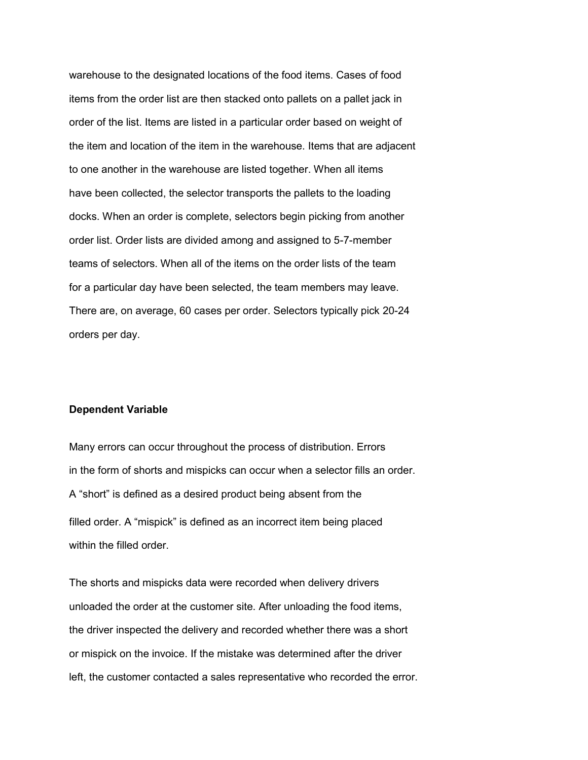warehouse to the designated locations of the food items. Cases of food items from the order list are then stacked onto pallets on a pallet jack in order of the list. Items are listed in a particular order based on weight of the item and location of the item in the warehouse. Items that are adjacent to one another in the warehouse are listed together. When all items have been collected, the selector transports the pallets to the loading docks. When an order is complete, selectors begin picking from another order list. Order lists are divided among and assigned to 5-7-member teams of selectors. When all of the items on the order lists of the team for a particular day have been selected, the team members may leave. There are, on average, 60 cases per order. Selectors typically pick 20-24 orders per day.

# **Dependent Variable**

Many errors can occur throughout the process of distribution. Errors in the form of shorts and mispicks can occur when a selector fills an order. A "short" is defined as a desired product being absent from the filled order. A "mispick" is defined as an incorrect item being placed within the filled order.

The shorts and mispicks data were recorded when delivery drivers unloaded the order at the customer site. After unloading the food items, the driver inspected the delivery and recorded whether there was a short or mispick on the invoice. If the mistake was determined after the driver left, the customer contacted a sales representative who recorded the error.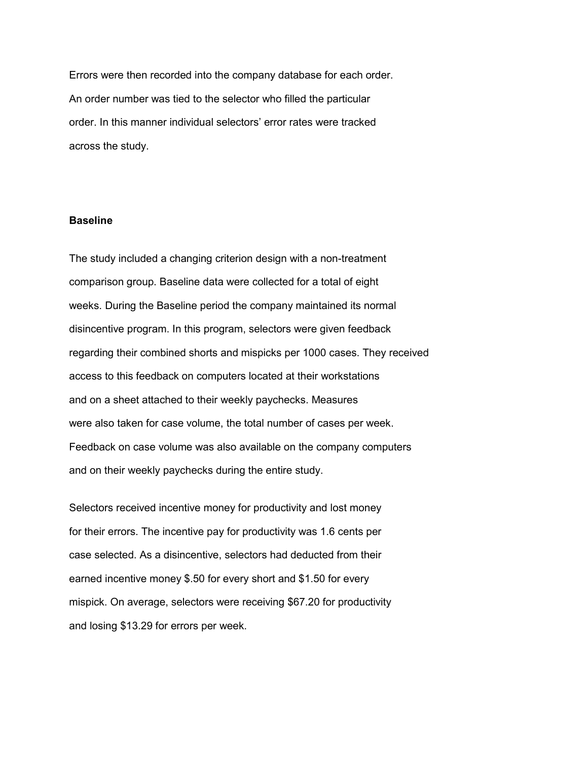Errors were then recorded into the company database for each order. An order number was tied to the selector who filled the particular order. In this manner individual selectors' error rates were tracked across the study.

# **Baseline**

The study included a changing criterion design with a non-treatment comparison group. Baseline data were collected for a total of eight weeks. During the Baseline period the company maintained its normal disincentive program. In this program, selectors were given feedback regarding their combined shorts and mispicks per 1000 cases. They received access to this feedback on computers located at their workstations and on a sheet attached to their weekly paychecks. Measures were also taken for case volume, the total number of cases per week. Feedback on case volume was also available on the company computers and on their weekly paychecks during the entire study.

Selectors received incentive money for productivity and lost money for their errors. The incentive pay for productivity was 1.6 cents per case selected. As a disincentive, selectors had deducted from their earned incentive money \$.50 for every short and \$1.50 for every mispick. On average, selectors were receiving \$67.20 for productivity and losing \$13.29 for errors per week.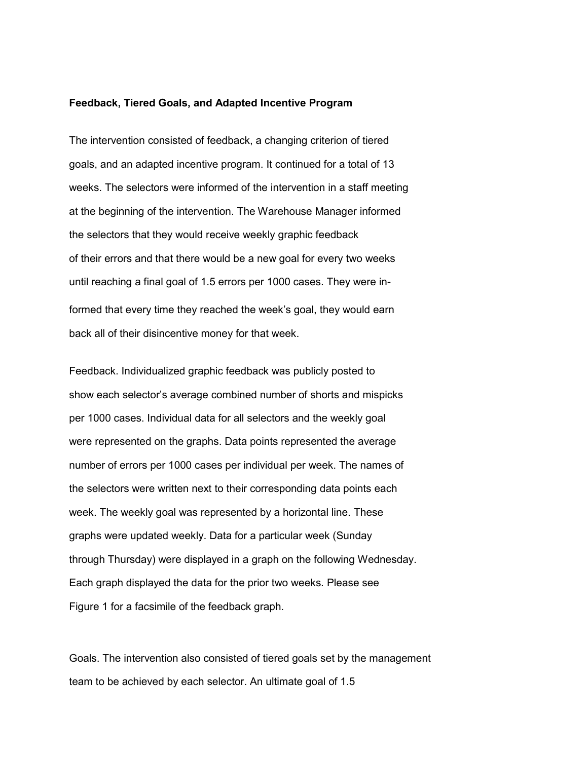### **Feedback, Tiered Goals, and Adapted Incentive Program**

The intervention consisted of feedback, a changing criterion of tiered goals, and an adapted incentive program. It continued for a total of 13 weeks. The selectors were informed of the intervention in a staff meeting at the beginning of the intervention. The Warehouse Manager informed the selectors that they would receive weekly graphic feedback of their errors and that there would be a new goal for every two weeks until reaching a final goal of 1.5 errors per 1000 cases. They were informed that every time they reached the week's goal, they would earn back all of their disincentive money for that week.

Feedback. Individualized graphic feedback was publicly posted to show each selector's average combined number of shorts and mispicks per 1000 cases. Individual data for all selectors and the weekly goal were represented on the graphs. Data points represented the average number of errors per 1000 cases per individual per week. The names of the selectors were written next to their corresponding data points each week. The weekly goal was represented by a horizontal line. These graphs were updated weekly. Data for a particular week (Sunday through Thursday) were displayed in a graph on the following Wednesday. Each graph displayed the data for the prior two weeks. Please see Figure 1 for a facsimile of the feedback graph.

Goals. The intervention also consisted of tiered goals set by the management team to be achieved by each selector. An ultimate goal of 1.5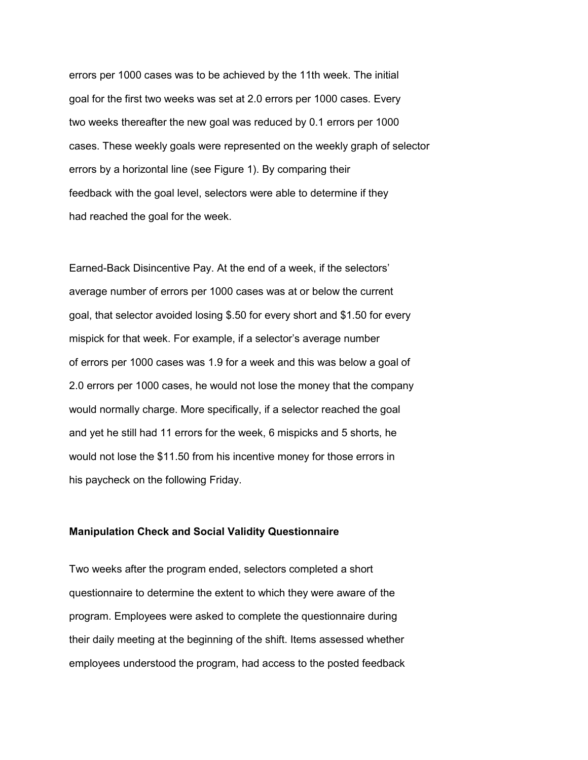errors per 1000 cases was to be achieved by the 11th week. The initial goal for the first two weeks was set at 2.0 errors per 1000 cases. Every two weeks thereafter the new goal was reduced by 0.1 errors per 1000 cases. These weekly goals were represented on the weekly graph of selector errors by a horizontal line (see Figure 1). By comparing their feedback with the goal level, selectors were able to determine if they had reached the goal for the week.

Earned-Back Disincentive Pay. At the end of a week, if the selectors' average number of errors per 1000 cases was at or below the current goal, that selector avoided losing \$.50 for every short and \$1.50 for every mispick for that week. For example, if a selector's average number of errors per 1000 cases was 1.9 for a week and this was below a goal of 2.0 errors per 1000 cases, he would not lose the money that the company would normally charge. More specifically, if a selector reached the goal and yet he still had 11 errors for the week, 6 mispicks and 5 shorts, he would not lose the \$11.50 from his incentive money for those errors in his paycheck on the following Friday.

#### **Manipulation Check and Social Validity Questionnaire**

Two weeks after the program ended, selectors completed a short questionnaire to determine the extent to which they were aware of the program. Employees were asked to complete the questionnaire during their daily meeting at the beginning of the shift. Items assessed whether employees understood the program, had access to the posted feedback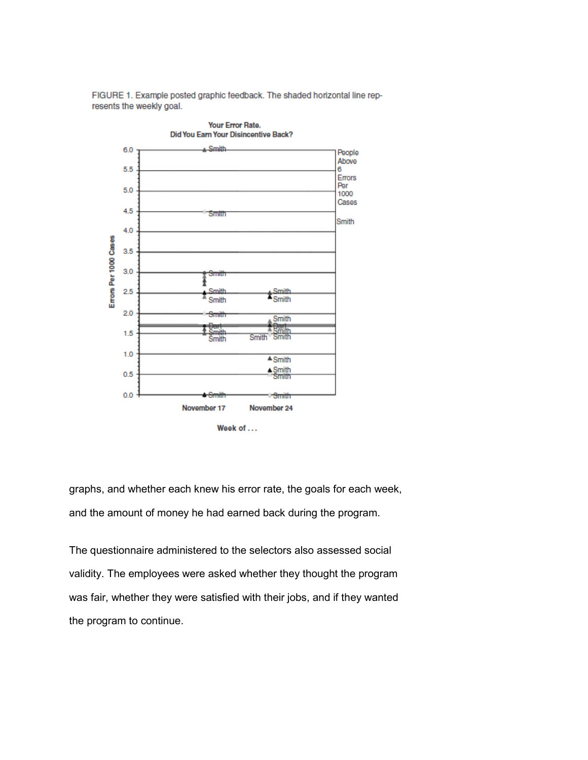FIGURE 1. Example posted graphic feedback. The shaded horizontal line represents the weekly goal.



graphs, and whether each knew his error rate, the goals for each week, and the amount of money he had earned back during the program.

The questionnaire administered to the selectors also assessed social validity. The employees were asked whether they thought the program was fair, whether they were satisfied with their jobs, and if they wanted the program to continue.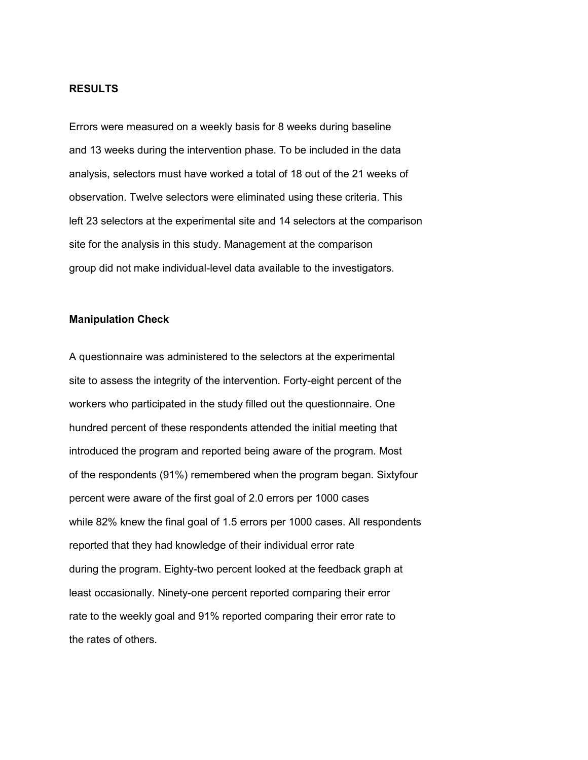# **RESULTS**

Errors were measured on a weekly basis for 8 weeks during baseline and 13 weeks during the intervention phase. To be included in the data analysis, selectors must have worked a total of 18 out of the 21 weeks of observation. Twelve selectors were eliminated using these criteria. This left 23 selectors at the experimental site and 14 selectors at the comparison site for the analysis in this study. Management at the comparison group did not make individual-level data available to the investigators.

# **Manipulation Check**

A questionnaire was administered to the selectors at the experimental site to assess the integrity of the intervention. Forty-eight percent of the workers who participated in the study filled out the questionnaire. One hundred percent of these respondents attended the initial meeting that introduced the program and reported being aware of the program. Most of the respondents (91%) remembered when the program began. Sixtyfour percent were aware of the first goal of 2.0 errors per 1000 cases while 82% knew the final goal of 1.5 errors per 1000 cases. All respondents reported that they had knowledge of their individual error rate during the program. Eighty-two percent looked at the feedback graph at least occasionally. Ninety-one percent reported comparing their error rate to the weekly goal and 91% reported comparing their error rate to the rates of others.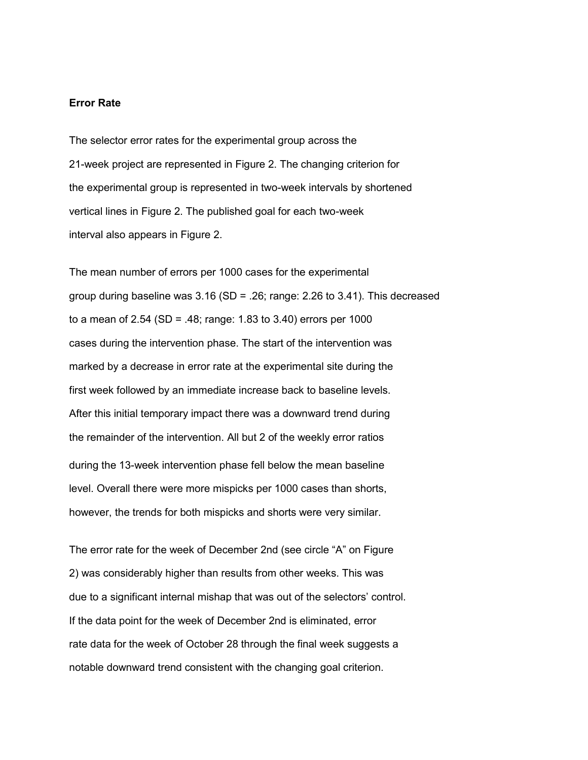# **Error Rate**

The selector error rates for the experimental group across the 21-week project are represented in Figure 2. The changing criterion for the experimental group is represented in two-week intervals by shortened vertical lines in Figure 2. The published goal for each two-week interval also appears in Figure 2.

The mean number of errors per 1000 cases for the experimental group during baseline was  $3.16$  (SD = .26; range: 2.26 to  $3.41$ ). This decreased to a mean of 2.54 (SD = .48; range: 1.83 to 3.40) errors per 1000 cases during the intervention phase. The start of the intervention was marked by a decrease in error rate at the experimental site during the first week followed by an immediate increase back to baseline levels. After this initial temporary impact there was a downward trend during the remainder of the intervention. All but 2 of the weekly error ratios during the 13-week intervention phase fell below the mean baseline level. Overall there were more mispicks per 1000 cases than shorts, however, the trends for both mispicks and shorts were very similar.

The error rate for the week of December 2nd (see circle "A" on Figure 2) was considerably higher than results from other weeks. This was due to a significant internal mishap that was out of the selectors' control. If the data point for the week of December 2nd is eliminated, error rate data for the week of October 28 through the final week suggests a notable downward trend consistent with the changing goal criterion.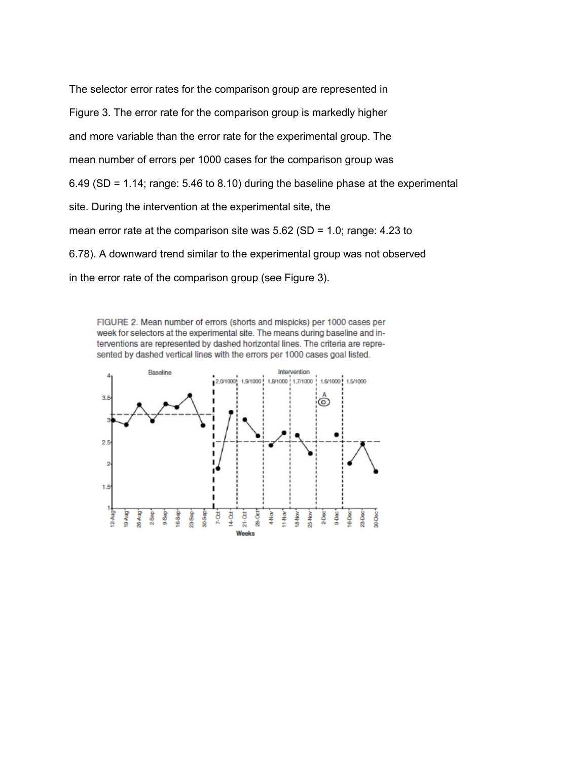The selector error rates for the comparison group are represented in Figure 3. The error rate for the comparison group is markedly higher and more variable than the error rate for the experimental group. The mean number of errors per 1000 cases for the comparison group was 6.49 (SD = 1.14; range: 5.46 to 8.10) during the baseline phase at the experimental site. During the intervention at the experimental site, the mean error rate at the comparison site was 5.62 (SD = 1.0; range: 4.23 to 6.78). A downward trend similar to the experimental group was not observed in the error rate of the comparison group (see Figure 3).

FIGURE 2. Mean number of errors (shorts and mispicks) per 1000 cases per week for selectors at the experimental site. The means during baseline and interventions are represented by dashed horizontal lines. The criteria are represented by dashed vertical lines with the errors per 1000 cases goal listed.

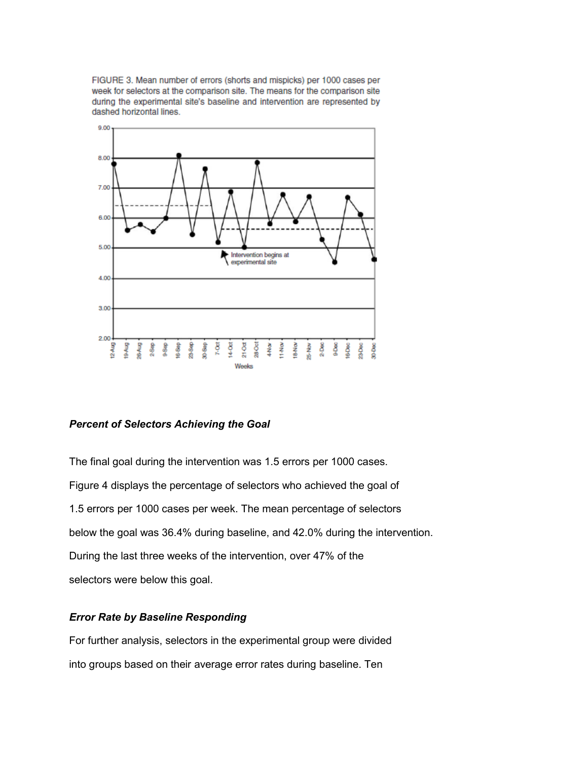FIGURE 3. Mean number of errors (shorts and mispicks) per 1000 cases per week for selectors at the comparison site. The means for the comparison site during the experimental site's baseline and intervention are represented by dashed horizontal lines.



# *Percent of Selectors Achieving the Goal*

The final goal during the intervention was 1.5 errors per 1000 cases. Figure 4 displays the percentage of selectors who achieved the goal of 1.5 errors per 1000 cases per week. The mean percentage of selectors below the goal was 36.4% during baseline, and 42.0% during the intervention. During the last three weeks of the intervention, over 47% of the selectors were below this goal.

# *Error Rate by Baseline Responding*

For further analysis, selectors in the experimental group were divided into groups based on their average error rates during baseline. Ten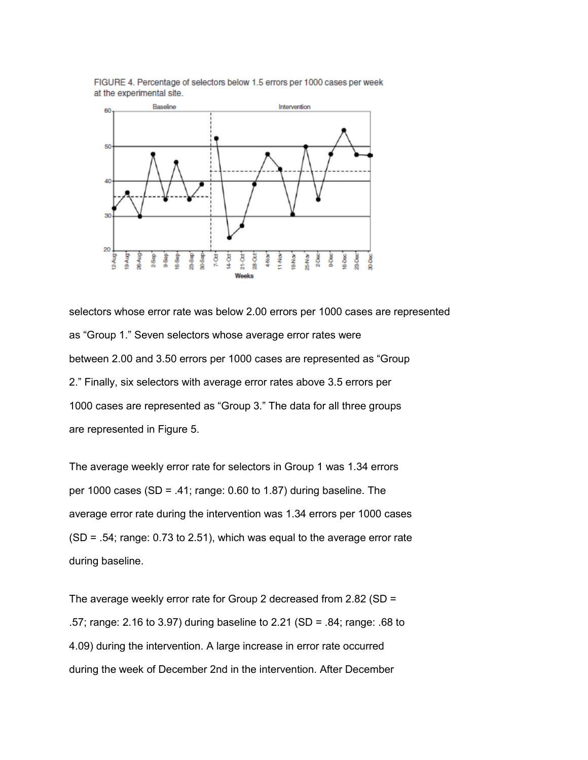

FIGURE 4. Percentage of selectors below 1.5 errors per 1000 cases per week at the experimental site.

selectors whose error rate was below 2.00 errors per 1000 cases are represented as "Group 1." Seven selectors whose average error rates were between 2.00 and 3.50 errors per 1000 cases are represented as "Group 2." Finally, six selectors with average error rates above 3.5 errors per 1000 cases are represented as "Group 3." The data for all three groups are represented in Figure 5.

The average weekly error rate for selectors in Group 1 was 1.34 errors per 1000 cases (SD = .41; range: 0.60 to 1.87) during baseline. The average error rate during the intervention was 1.34 errors per 1000 cases (SD = .54; range: 0.73 to 2.51), which was equal to the average error rate during baseline.

The average weekly error rate for Group 2 decreased from 2.82 (SD = .57; range: 2.16 to 3.97) during baseline to 2.21 (SD = .84; range: .68 to 4.09) during the intervention. A large increase in error rate occurred during the week of December 2nd in the intervention. After December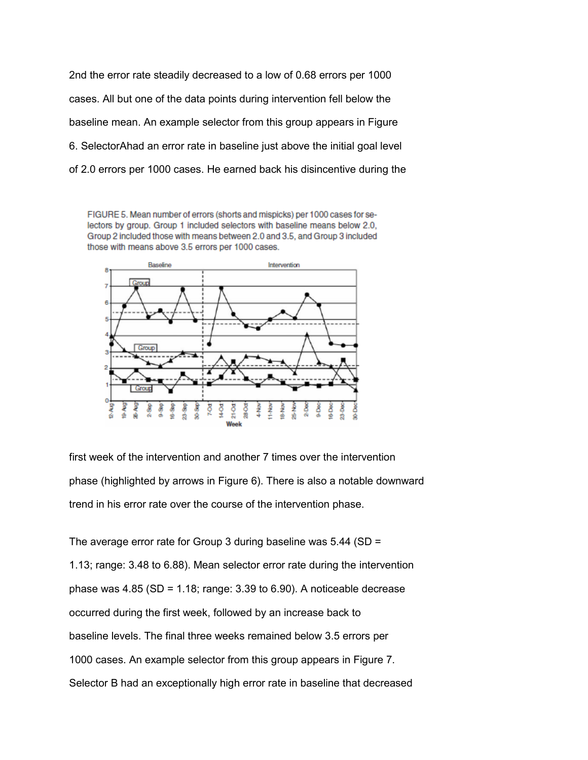2nd the error rate steadily decreased to a low of 0.68 errors per 1000 cases. All but one of the data points during intervention fell below the baseline mean. An example selector from this group appears in Figure 6. SelectorAhad an error rate in baseline just above the initial goal level of 2.0 errors per 1000 cases. He earned back his disincentive during the

FIGURE 5. Mean number of errors (shorts and mispicks) per 1000 cases for selectors by group. Group 1 included selectors with baseline means below 2.0, Group 2 included those with means between 2.0 and 3.5, and Group 3 included those with means above 3.5 errors per 1000 cases.



first week of the intervention and another 7 times over the intervention phase (highlighted by arrows in Figure 6). There is also a notable downward trend in his error rate over the course of the intervention phase.

The average error rate for Group 3 during baseline was 5.44 (SD = 1.13; range: 3.48 to 6.88). Mean selector error rate during the intervention phase was  $4.85$  (SD = 1.18; range: 3.39 to 6.90). A noticeable decrease occurred during the first week, followed by an increase back to baseline levels. The final three weeks remained below 3.5 errors per 1000 cases. An example selector from this group appears in Figure 7. Selector B had an exceptionally high error rate in baseline that decreased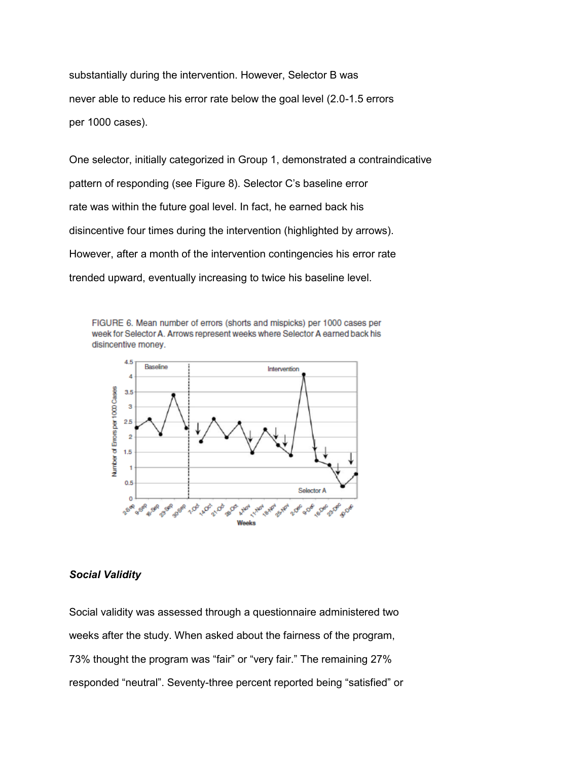substantially during the intervention. However, Selector B was never able to reduce his error rate below the goal level (2.0-1.5 errors per 1000 cases).

One selector, initially categorized in Group 1, demonstrated a contraindicative pattern of responding (see Figure 8). Selector C's baseline error rate was within the future goal level. In fact, he earned back his disincentive four times during the intervention (highlighted by arrows). However, after a month of the intervention contingencies his error rate trended upward, eventually increasing to twice his baseline level.

FIGURE 6. Mean number of errors (shorts and mispicks) per 1000 cases per week for Selector A. Arrows represent weeks where Selector A earned back his disincentive money.



# *Social Validity*

Social validity was assessed through a questionnaire administered two weeks after the study. When asked about the fairness of the program, 73% thought the program was "fair" or "very fair." The remaining 27% responded "neutral". Seventy-three percent reported being "satisfied" or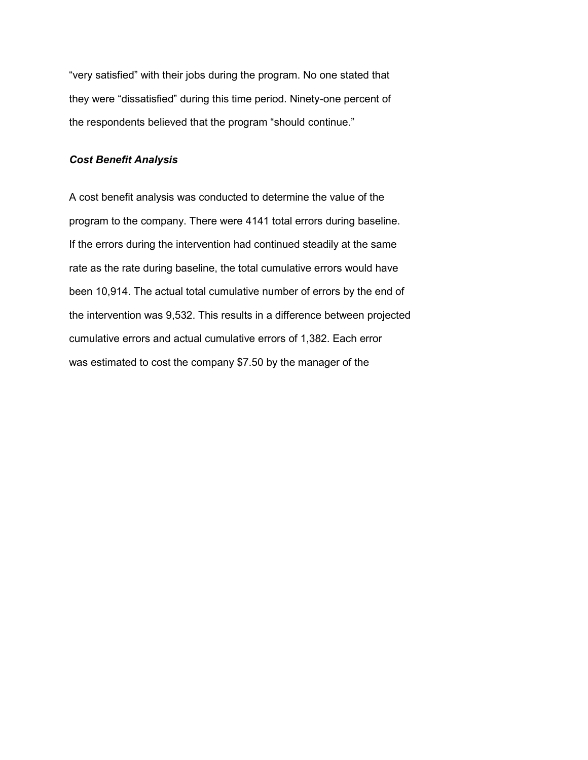"very satisfied" with their jobs during the program. No one stated that they were "dissatisfied" during this time period. Ninety-one percent of the respondents believed that the program "should continue."

# *Cost Benefit Analysis*

A cost benefit analysis was conducted to determine the value of the program to the company. There were 4141 total errors during baseline. If the errors during the intervention had continued steadily at the same rate as the rate during baseline, the total cumulative errors would have been 10,914. The actual total cumulative number of errors by the end of the intervention was 9,532. This results in a difference between projected cumulative errors and actual cumulative errors of 1,382. Each error was estimated to cost the company \$7.50 by the manager of the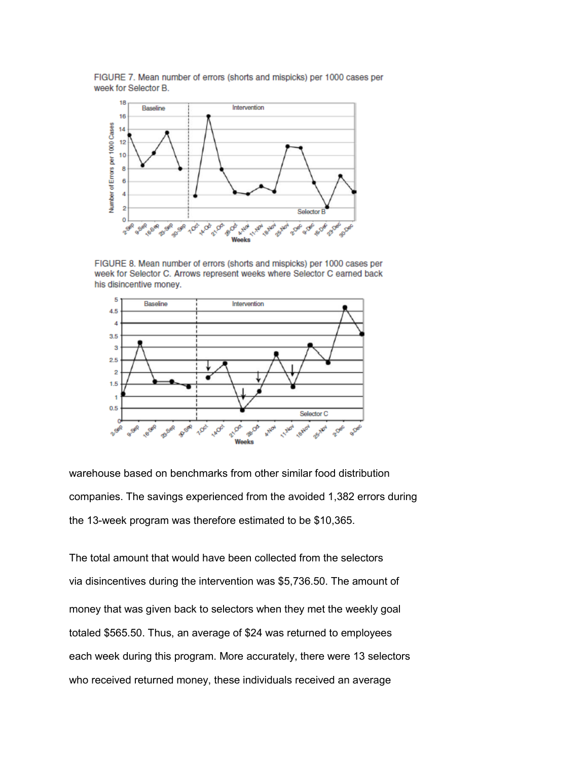FIGURE 7. Mean number of errors (shorts and mispicks) per 1000 cases per week for Selector B.



FIGURE 8. Mean number of errors (shorts and mispicks) per 1000 cases per week for Selector C. Arrows represent weeks where Selector C earned back his disincentive money.



warehouse based on benchmarks from other similar food distribution companies. The savings experienced from the avoided 1,382 errors during the 13-week program was therefore estimated to be \$10,365.

The total amount that would have been collected from the selectors via disincentives during the intervention was \$5,736.50. The amount of money that was given back to selectors when they met the weekly goal totaled \$565.50. Thus, an average of \$24 was returned to employees each week during this program. More accurately, there were 13 selectors who received returned money, these individuals received an average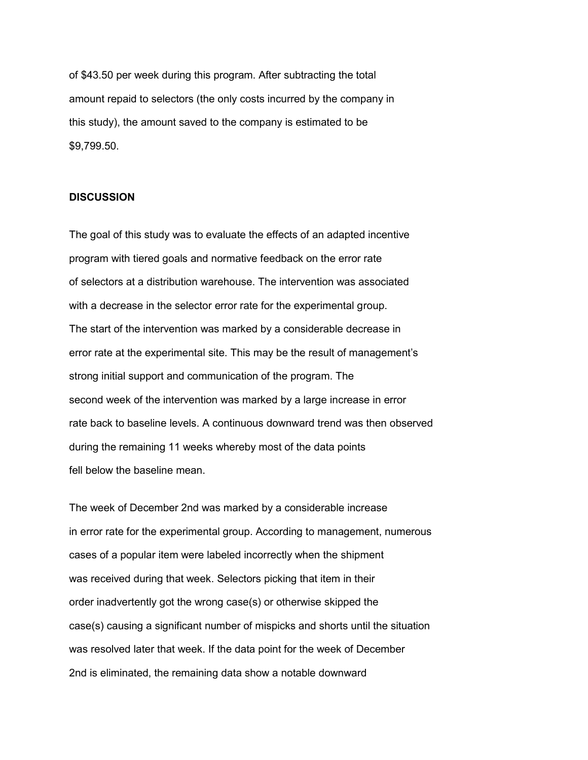of \$43.50 per week during this program. After subtracting the total amount repaid to selectors (the only costs incurred by the company in this study), the amount saved to the company is estimated to be \$9,799.50.

### **DISCUSSION**

The goal of this study was to evaluate the effects of an adapted incentive program with tiered goals and normative feedback on the error rate of selectors at a distribution warehouse. The intervention was associated with a decrease in the selector error rate for the experimental group. The start of the intervention was marked by a considerable decrease in error rate at the experimental site. This may be the result of management's strong initial support and communication of the program. The second week of the intervention was marked by a large increase in error rate back to baseline levels. A continuous downward trend was then observed during the remaining 11 weeks whereby most of the data points fell below the baseline mean.

The week of December 2nd was marked by a considerable increase in error rate for the experimental group. According to management, numerous cases of a popular item were labeled incorrectly when the shipment was received during that week. Selectors picking that item in their order inadvertently got the wrong case(s) or otherwise skipped the case(s) causing a significant number of mispicks and shorts until the situation was resolved later that week. If the data point for the week of December 2nd is eliminated, the remaining data show a notable downward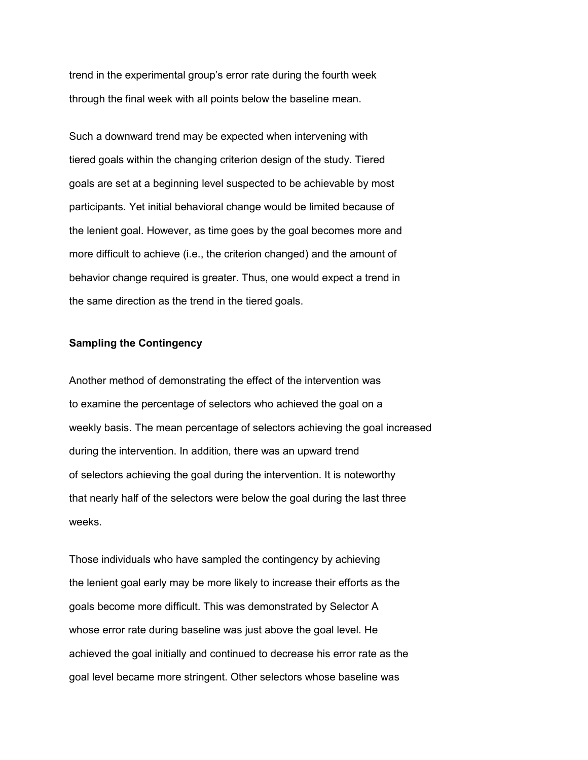trend in the experimental group's error rate during the fourth week through the final week with all points below the baseline mean.

Such a downward trend may be expected when intervening with tiered goals within the changing criterion design of the study. Tiered goals are set at a beginning level suspected to be achievable by most participants. Yet initial behavioral change would be limited because of the lenient goal. However, as time goes by the goal becomes more and more difficult to achieve (i.e., the criterion changed) and the amount of behavior change required is greater. Thus, one would expect a trend in the same direction as the trend in the tiered goals.

# **Sampling the Contingency**

Another method of demonstrating the effect of the intervention was to examine the percentage of selectors who achieved the goal on a weekly basis. The mean percentage of selectors achieving the goal increased during the intervention. In addition, there was an upward trend of selectors achieving the goal during the intervention. It is noteworthy that nearly half of the selectors were below the goal during the last three weeks.

Those individuals who have sampled the contingency by achieving the lenient goal early may be more likely to increase their efforts as the goals become more difficult. This was demonstrated by Selector A whose error rate during baseline was just above the goal level. He achieved the goal initially and continued to decrease his error rate as the goal level became more stringent. Other selectors whose baseline was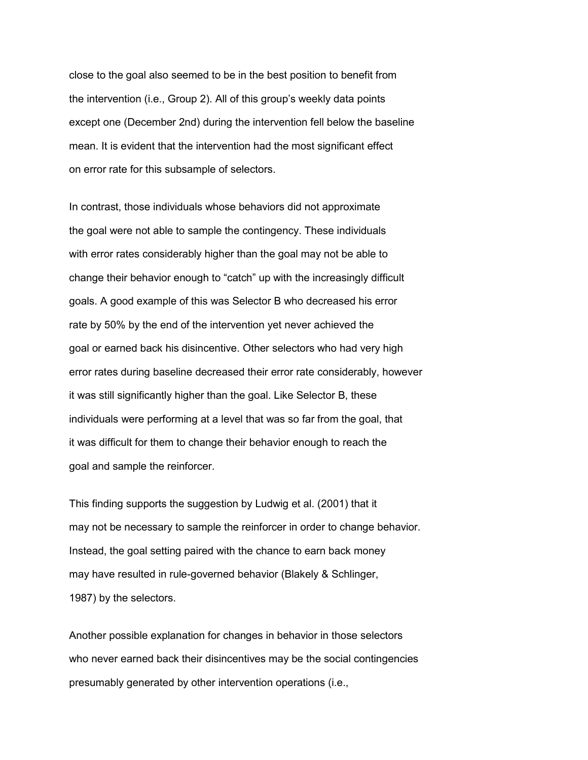close to the goal also seemed to be in the best position to benefit from the intervention (i.e., Group 2). All of this group's weekly data points except one (December 2nd) during the intervention fell below the baseline mean. It is evident that the intervention had the most significant effect on error rate for this subsample of selectors.

In contrast, those individuals whose behaviors did not approximate the goal were not able to sample the contingency. These individuals with error rates considerably higher than the goal may not be able to change their behavior enough to "catch" up with the increasingly difficult goals. A good example of this was Selector B who decreased his error rate by 50% by the end of the intervention yet never achieved the goal or earned back his disincentive. Other selectors who had very high error rates during baseline decreased their error rate considerably, however it was still significantly higher than the goal. Like Selector B, these individuals were performing at a level that was so far from the goal, that it was difficult for them to change their behavior enough to reach the goal and sample the reinforcer.

This finding supports the suggestion by Ludwig et al. (2001) that it may not be necessary to sample the reinforcer in order to change behavior. Instead, the goal setting paired with the chance to earn back money may have resulted in rule-governed behavior (Blakely & Schlinger, 1987) by the selectors.

Another possible explanation for changes in behavior in those selectors who never earned back their disincentives may be the social contingencies presumably generated by other intervention operations (i.e.,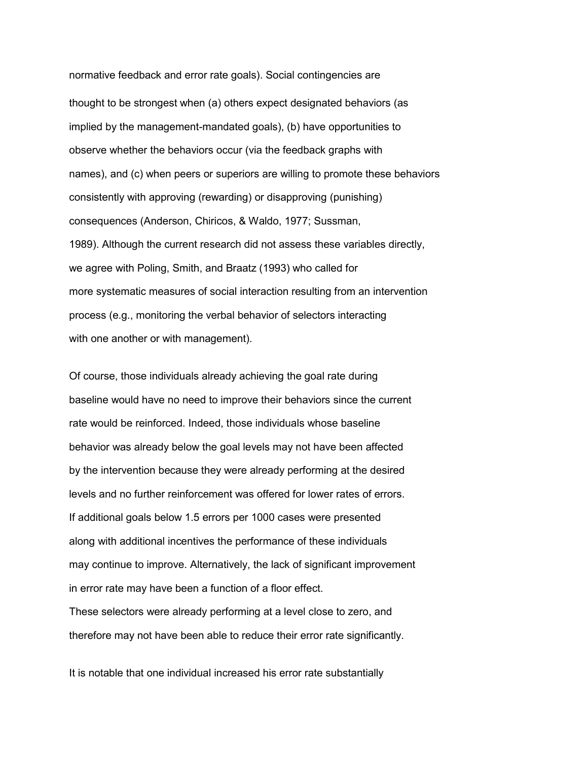normative feedback and error rate goals). Social contingencies are thought to be strongest when (a) others expect designated behaviors (as implied by the management-mandated goals), (b) have opportunities to observe whether the behaviors occur (via the feedback graphs with names), and (c) when peers or superiors are willing to promote these behaviors consistently with approving (rewarding) or disapproving (punishing) consequences (Anderson, Chiricos, & Waldo, 1977; Sussman, 1989). Although the current research did not assess these variables directly, we agree with Poling, Smith, and Braatz (1993) who called for more systematic measures of social interaction resulting from an intervention process (e.g., monitoring the verbal behavior of selectors interacting with one another or with management).

Of course, those individuals already achieving the goal rate during baseline would have no need to improve their behaviors since the current rate would be reinforced. Indeed, those individuals whose baseline behavior was already below the goal levels may not have been affected by the intervention because they were already performing at the desired levels and no further reinforcement was offered for lower rates of errors. If additional goals below 1.5 errors per 1000 cases were presented along with additional incentives the performance of these individuals may continue to improve. Alternatively, the lack of significant improvement in error rate may have been a function of a floor effect. These selectors were already performing at a level close to zero, and therefore may not have been able to reduce their error rate significantly.

It is notable that one individual increased his error rate substantially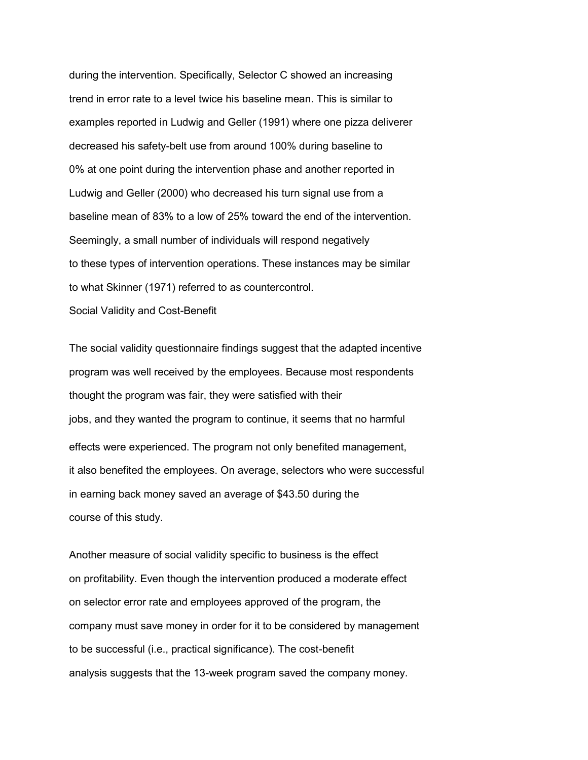during the intervention. Specifically, Selector C showed an increasing trend in error rate to a level twice his baseline mean. This is similar to examples reported in Ludwig and Geller (1991) where one pizza deliverer decreased his safety-belt use from around 100% during baseline to 0% at one point during the intervention phase and another reported in Ludwig and Geller (2000) who decreased his turn signal use from a baseline mean of 83% to a low of 25% toward the end of the intervention. Seemingly, a small number of individuals will respond negatively to these types of intervention operations. These instances may be similar to what Skinner (1971) referred to as countercontrol.

Social Validity and Cost-Benefit

The social validity questionnaire findings suggest that the adapted incentive program was well received by the employees. Because most respondents thought the program was fair, they were satisfied with their jobs, and they wanted the program to continue, it seems that no harmful effects were experienced. The program not only benefited management, it also benefited the employees. On average, selectors who were successful in earning back money saved an average of \$43.50 during the course of this study.

Another measure of social validity specific to business is the effect on profitability. Even though the intervention produced a moderate effect on selector error rate and employees approved of the program, the company must save money in order for it to be considered by management to be successful (i.e., practical significance). The cost-benefit analysis suggests that the 13-week program saved the company money.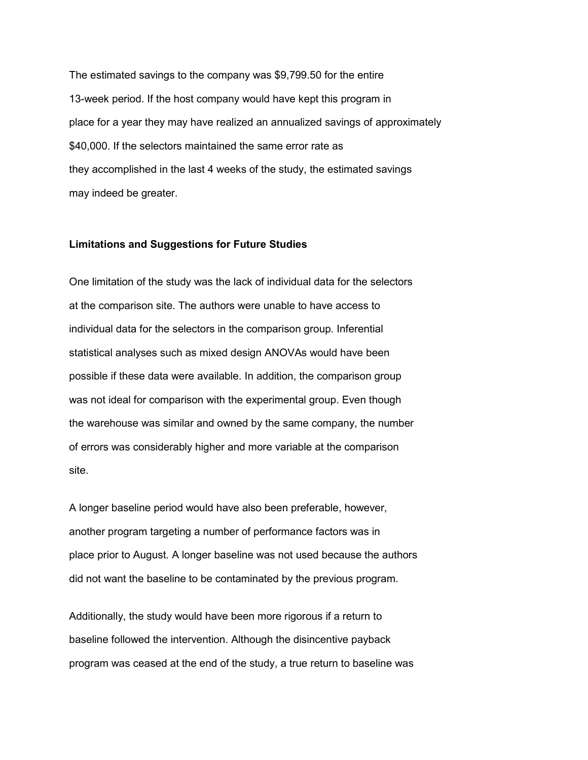The estimated savings to the company was \$9,799.50 for the entire 13-week period. If the host company would have kept this program in place for a year they may have realized an annualized savings of approximately \$40,000. If the selectors maintained the same error rate as they accomplished in the last 4 weeks of the study, the estimated savings may indeed be greater.

# **Limitations and Suggestions for Future Studies**

One limitation of the study was the lack of individual data for the selectors at the comparison site. The authors were unable to have access to individual data for the selectors in the comparison group. Inferential statistical analyses such as mixed design ANOVAs would have been possible if these data were available. In addition, the comparison group was not ideal for comparison with the experimental group. Even though the warehouse was similar and owned by the same company, the number of errors was considerably higher and more variable at the comparison site.

A longer baseline period would have also been preferable, however, another program targeting a number of performance factors was in place prior to August. A longer baseline was not used because the authors did not want the baseline to be contaminated by the previous program.

Additionally, the study would have been more rigorous if a return to baseline followed the intervention. Although the disincentive payback program was ceased at the end of the study, a true return to baseline was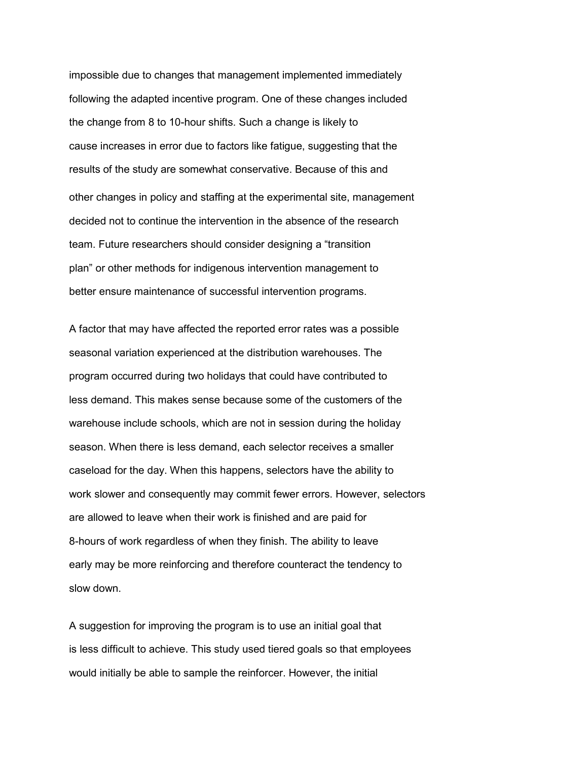impossible due to changes that management implemented immediately following the adapted incentive program. One of these changes included the change from 8 to 10-hour shifts. Such a change is likely to cause increases in error due to factors like fatigue, suggesting that the results of the study are somewhat conservative. Because of this and other changes in policy and staffing at the experimental site, management decided not to continue the intervention in the absence of the research team. Future researchers should consider designing a "transition plan" or other methods for indigenous intervention management to better ensure maintenance of successful intervention programs.

A factor that may have affected the reported error rates was a possible seasonal variation experienced at the distribution warehouses. The program occurred during two holidays that could have contributed to less demand. This makes sense because some of the customers of the warehouse include schools, which are not in session during the holiday season. When there is less demand, each selector receives a smaller caseload for the day. When this happens, selectors have the ability to work slower and consequently may commit fewer errors. However, selectors are allowed to leave when their work is finished and are paid for 8-hours of work regardless of when they finish. The ability to leave early may be more reinforcing and therefore counteract the tendency to slow down.

A suggestion for improving the program is to use an initial goal that is less difficult to achieve. This study used tiered goals so that employees would initially be able to sample the reinforcer. However, the initial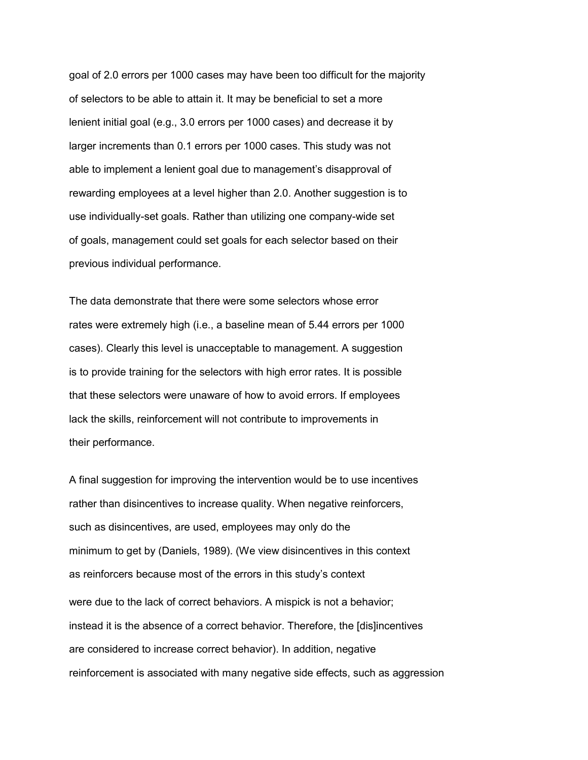goal of 2.0 errors per 1000 cases may have been too difficult for the majority of selectors to be able to attain it. It may be beneficial to set a more lenient initial goal (e.g., 3.0 errors per 1000 cases) and decrease it by larger increments than 0.1 errors per 1000 cases. This study was not able to implement a lenient goal due to management's disapproval of rewarding employees at a level higher than 2.0. Another suggestion is to use individually-set goals. Rather than utilizing one company-wide set of goals, management could set goals for each selector based on their previous individual performance.

The data demonstrate that there were some selectors whose error rates were extremely high (i.e., a baseline mean of 5.44 errors per 1000 cases). Clearly this level is unacceptable to management. A suggestion is to provide training for the selectors with high error rates. It is possible that these selectors were unaware of how to avoid errors. If employees lack the skills, reinforcement will not contribute to improvements in their performance.

A final suggestion for improving the intervention would be to use incentives rather than disincentives to increase quality. When negative reinforcers, such as disincentives, are used, employees may only do the minimum to get by (Daniels, 1989). (We view disincentives in this context as reinforcers because most of the errors in this study's context were due to the lack of correct behaviors. A mispick is not a behavior; instead it is the absence of a correct behavior. Therefore, the [dis]incentives are considered to increase correct behavior). In addition, negative reinforcement is associated with many negative side effects, such as aggression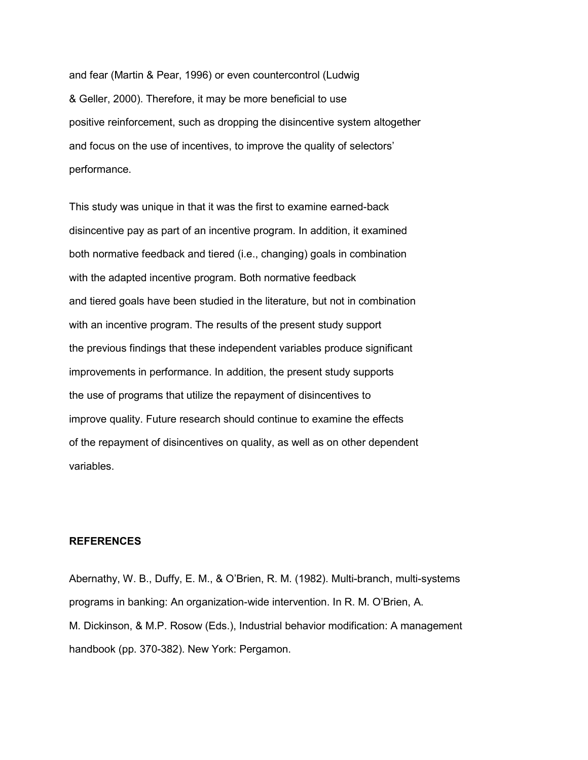and fear (Martin & Pear, 1996) or even countercontrol (Ludwig & Geller, 2000). Therefore, it may be more beneficial to use positive reinforcement, such as dropping the disincentive system altogether and focus on the use of incentives, to improve the quality of selectors' performance.

This study was unique in that it was the first to examine earned-back disincentive pay as part of an incentive program. In addition, it examined both normative feedback and tiered (i.e., changing) goals in combination with the adapted incentive program. Both normative feedback and tiered goals have been studied in the literature, but not in combination with an incentive program. The results of the present study support the previous findings that these independent variables produce significant improvements in performance. In addition, the present study supports the use of programs that utilize the repayment of disincentives to improve quality. Future research should continue to examine the effects of the repayment of disincentives on quality, as well as on other dependent variables.

# **REFERENCES**

Abernathy, W. B., Duffy, E. M., & O'Brien, R. M. (1982). Multi-branch, multi-systems programs in banking: An organization-wide intervention. In R. M. O'Brien, A. M. Dickinson, & M.P. Rosow (Eds.), Industrial behavior modification: A management handbook (pp. 370-382). New York: Pergamon.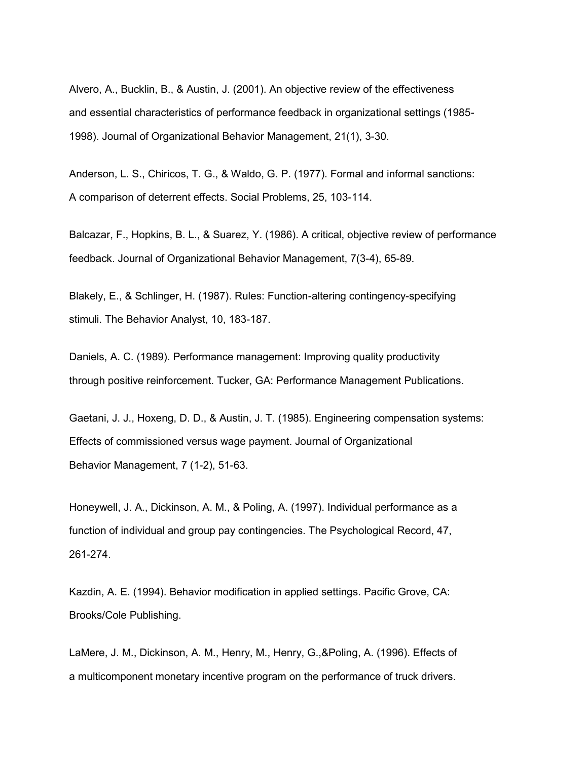Alvero, A., Bucklin, B., & Austin, J. (2001). An objective review of the effectiveness and essential characteristics of performance feedback in organizational settings (1985- 1998). Journal of Organizational Behavior Management, 21(1), 3-30.

Anderson, L. S., Chiricos, T. G., & Waldo, G. P. (1977). Formal and informal sanctions: A comparison of deterrent effects. Social Problems, 25, 103-114.

Balcazar, F., Hopkins, B. L., & Suarez, Y. (1986). A critical, objective review of performance feedback. Journal of Organizational Behavior Management, 7(3-4), 65-89.

Blakely, E., & Schlinger, H. (1987). Rules: Function-altering contingency-specifying stimuli. The Behavior Analyst, 10, 183-187.

Daniels, A. C. (1989). Performance management: Improving quality productivity through positive reinforcement. Tucker, GA: Performance Management Publications.

Gaetani, J. J., Hoxeng, D. D., & Austin, J. T. (1985). Engineering compensation systems: Effects of commissioned versus wage payment. Journal of Organizational Behavior Management, 7 (1-2), 51-63.

Honeywell, J. A., Dickinson, A. M., & Poling, A. (1997). Individual performance as a function of individual and group pay contingencies. The Psychological Record, 47, 261-274.

Kazdin, A. E. (1994). Behavior modification in applied settings. Pacific Grove, CA: Brooks/Cole Publishing.

LaMere, J. M., Dickinson, A. M., Henry, M., Henry, G.,&Poling, A. (1996). Effects of a multicomponent monetary incentive program on the performance of truck drivers.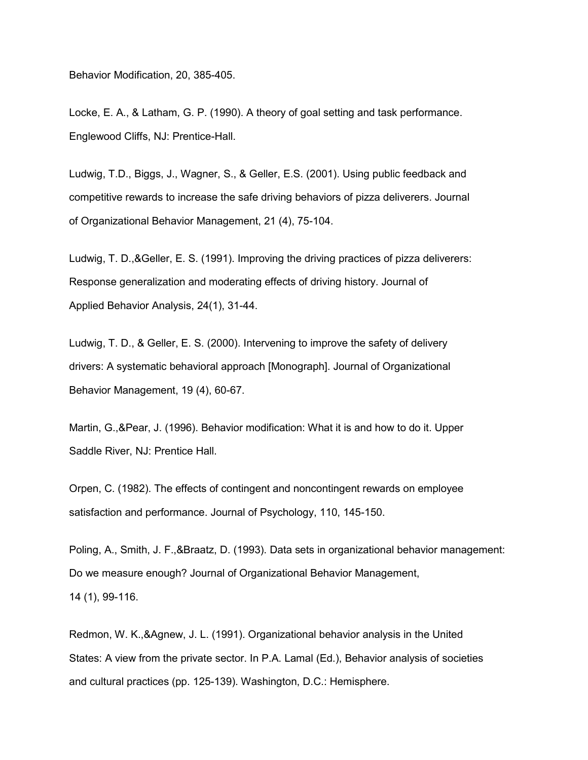Behavior Modification, 20, 385-405.

Locke, E. A., & Latham, G. P. (1990). A theory of goal setting and task performance. Englewood Cliffs, NJ: Prentice-Hall.

Ludwig, T.D., Biggs, J., Wagner, S., & Geller, E.S. (2001). Using public feedback and competitive rewards to increase the safe driving behaviors of pizza deliverers. Journal of Organizational Behavior Management, 21 (4), 75-104.

Ludwig, T. D.,&Geller, E. S. (1991). Improving the driving practices of pizza deliverers: Response generalization and moderating effects of driving history. Journal of Applied Behavior Analysis, 24(1), 31-44.

Ludwig, T. D., & Geller, E. S. (2000). Intervening to improve the safety of delivery drivers: A systematic behavioral approach [Monograph]. Journal of Organizational Behavior Management, 19 (4), 60-67.

Martin, G.,&Pear, J. (1996). Behavior modification: What it is and how to do it. Upper Saddle River, NJ: Prentice Hall.

Orpen, C. (1982). The effects of contingent and noncontingent rewards on employee satisfaction and performance. Journal of Psychology, 110, 145-150.

Poling, A., Smith, J. F.,&Braatz, D. (1993). Data sets in organizational behavior management: Do we measure enough? Journal of Organizational Behavior Management, 14 (1), 99-116.

Redmon, W. K.,&Agnew, J. L. (1991). Organizational behavior analysis in the United States: A view from the private sector. In P.A. Lamal (Ed.), Behavior analysis of societies and cultural practices (pp. 125-139). Washington, D.C.: Hemisphere.